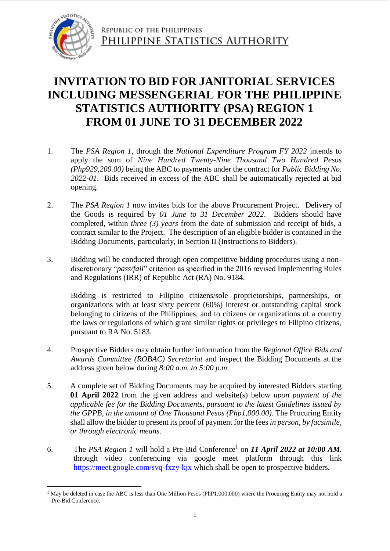

## **INVITATION TO BID FOR JANITORIAL SERVICES INCLUDING MESSENGERIAL FOR THE PHILIPPINE STATISTICS AUTHORITY (PSA) REGION 1 FROM 01 JUNE TO 31 DECEMBER 2022**

- 1. The *PSA Region 1*, through the *National Expenditure Program FY 2022* intends to apply the sum of *Nine Hundred Twenty-Nine Thousand Two Hundred Pesos (Php929,200.00)* being the ABC to payments under the contract for *Public Bidding No. 2022-01*. Bids received in excess of the ABC shall be automatically rejected at bid opening.
- 2. The *PSA Region 1* now invites bids for the above Procurement Project. Delivery of the Goods is required by *01 June to 31 December 2022*. Bidders should have completed, within *three (3) years* from the date of submission and receipt of bids, a contract similar to the Project. The description of an eligible bidder is contained in the Bidding Documents, particularly, in Section II (Instructions to Bidders).
- 3. Bidding will be conducted through open competitive bidding procedures using a nondiscretionary "*pass/fail*" criterion as specified in the 2016 revised Implementing Rules and Regulations (IRR) of Republic Act (RA) No. 9184.

Bidding is restricted to Filipino citizens/sole proprietorships, partnerships, or organizations with at least sixty percent (60%) interest or outstanding capital stock belonging to citizens of the Philippines, and to citizens or organizations of a country the laws or regulations of which grant similar rights or privileges to Filipino citizens, pursuant to RA No. 5183.

- 4. Prospective Bidders may obtain further information from the *Regional Office Bids and Awards Committee (ROBAC) Secretariat* and inspect the Bidding Documents at the address given below during *8:00 a.m. to 5:00 p.m*.
- 5. A complete set of Bidding Documents may be acquired by interested Bidders starting **01 April 2022** from the given address and website(s) below *upon payment of the applicable fee for the Bidding Documents, pursuant to the latest Guidelines issued by the GPPB, in the amount of One Thousand Pesos (Php1,000.00)*. The Procuring Entity shall allow the bidder to present its proof of payment for the fees *in person, by facsimile, or through electronic means.*
- 6. The *PSA Region 1* will hold a Pre-Bid Conference<sup>1</sup> on *11 April 2022 at 10:00 AM*. through video conferencing via google meet platform through this link https://meet.google.com/svq-fxzy-kjx which shall be open to prospective bidders*.*

<sup>1</sup> <sup>1</sup> May be deleted in case the ABC is less than One Million Pesos (PhP1,000,000) where the Procuring Entity may not hold a Pre-Bid Conference.